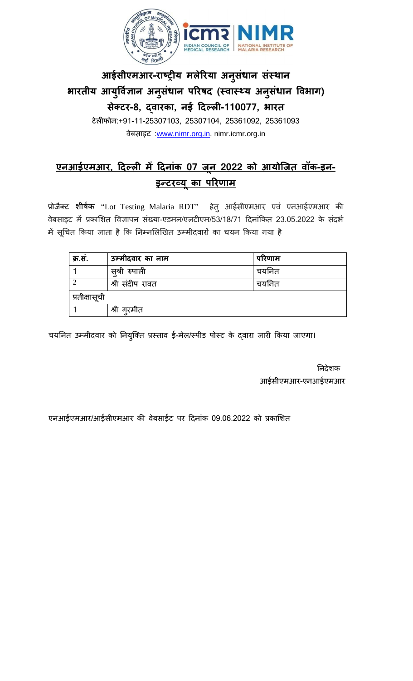

## **आईसीएमआर-राष्ट्र य मलेरयाअ नुसंधान संस्** भारतीय आयुर्विज्ञान अनुसंधान परिषद (स्वास्थ्य अनुसंधान विभाग) **सक्ेट-8, द्वारक, नई �दल्ल-110077, भारत**

टेल�फोन:+91-11-25307103, 25307104, 25361092, 25361093 वेबसाइट :[www.nimr.org.in,](http://www.nimr.org.in/) nimr.icmr.org.in

## **एनआईएमआर, �दल्ल म� �दनांक 07 ज न 2022 को आयोिजत वॉक-इन-ू** <u>इन्टरव्यू का परिणाम</u>

प्रोजैक्ट शीर्षक "Lot Testing Malaria RDT" हेतु आईसीएमआर एवं एनआईएमआर की वेबसाइट में प्रकाशित विज्ञापन संख्या-एडमन/एलटीएम/53/18/71 दिनांकित 23.05.2022 के संदर्भ में सूचित किया जाता है कि निम्नलिखित उम्मीदवारों का चयन किया गया है

| क्र.सं.       | उम्मीदवार का नाम | परिणाम   |  |
|---------------|------------------|----------|--|
|               | स़्श्री रुपाली   | चर्यानेत |  |
|               | श्री संदीप रावत  | चर्यानेत |  |
| प्रतीक्षासूची |                  |          |  |
|               | श्री गुरमीत      |          |  |

चर्यानेत उम्मीदवार को नियुक्ति प्रस्ताव ई-मेल/स्पीड पोस्ट के द्वारा जारी किया जाएगा।

 �नदेशक आईसीएमआर-एनआईएमआर

एनआईएमआर/आईसीएमआर की वेबसाईट पर दिनांक 09.06.2022 को प्रकाशित